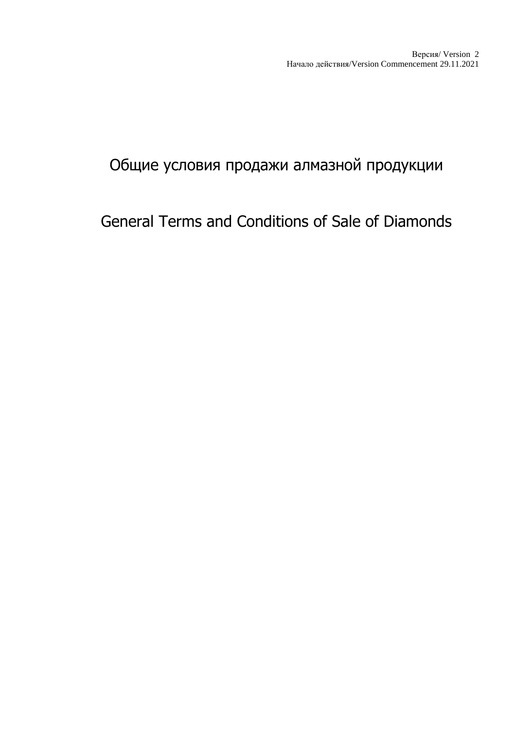## Общие условия продажи алмазной продукции

## General Terms and Conditions of Sale of Diamonds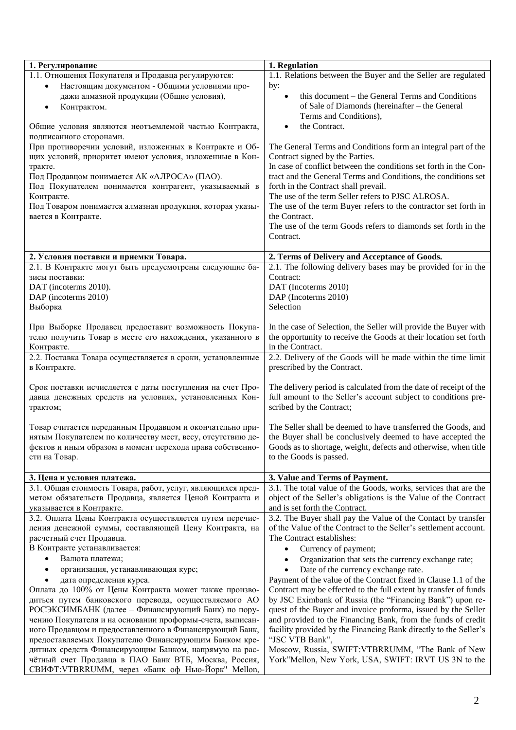| 1. Регулирование                                            | 1. Regulation                                                     |
|-------------------------------------------------------------|-------------------------------------------------------------------|
| 1.1. Отношения Покупателя и Продавца регулируются:          | 1.1. Relations between the Buyer and the Seller are regulated     |
| Настоящим документом - Общими условиями про-<br>٠           | by:                                                               |
| дажи алмазной продукции (Общие условия),                    | this document – the General Terms and Conditions                  |
| Контрактом.<br>$\bullet$                                    | of Sale of Diamonds (hereinafter - the General                    |
|                                                             | Terms and Conditions),                                            |
| Общие условия являются неотъемлемой частью Контракта,       | the Contract.                                                     |
| подписанного сторонами.                                     |                                                                   |
| При противоречии условий, изложенных в Контракте и Об-      | The General Terms and Conditions form an integral part of the     |
| щих условий, приоритет имеют условия, изложенные в Кон-     | Contract signed by the Parties.                                   |
| тракте.                                                     | In case of conflict between the conditions set forth in the Con-  |
| Под Продавцом понимается АК «АЛРОСА» (ПАО).                 | tract and the General Terms and Conditions, the conditions set    |
| Под Покупателем понимается контрагент, указываемый в        | forth in the Contract shall prevail.                              |
| Контракте.                                                  | The use of the term Seller refers to PJSC ALROSA.                 |
| Под Товаром понимается алмазная продукция, которая указы-   | The use of the term Buyer refers to the contractor set forth in   |
| вается в Контракте.                                         | the Contract.                                                     |
|                                                             | The use of the term Goods refers to diamonds set forth in the     |
|                                                             | Contract.                                                         |
|                                                             |                                                                   |
| 2. Условия поставки и приемки Товара.                       | 2. Terms of Delivery and Acceptance of Goods.                     |
| 2.1. В Контракте могут быть предусмотрены следующие ба-     | 2.1. The following delivery bases may be provided for in the      |
| зисы поставки:                                              | Contract:                                                         |
| DAT (incoterms 2010).                                       | DAT (Incoterms 2010)                                              |
| DAP (incoterms 2010)                                        | DAP (Incoterms 2010)                                              |
| Выборка                                                     | Selection                                                         |
|                                                             |                                                                   |
| При Выборке Продавец предоставит возможность Покупа-        | In the case of Selection, the Seller will provide the Buyer with  |
| телю получить Товар в месте его нахождения, указанного в    | the opportunity to receive the Goods at their location set forth  |
| Контракте.                                                  | in the Contract.                                                  |
| 2.2. Поставка Товара осуществляется в сроки, установленные  | 2.2. Delivery of the Goods will be made within the time limit     |
| в Контракте.                                                | prescribed by the Contract.                                       |
|                                                             |                                                                   |
| Срок поставки исчисляется с даты поступления на счет Про-   | The delivery period is calculated from the date of receipt of the |
| давца денежных средств на условиях, установленных Кон-      | full amount to the Seller's account subject to conditions pre-    |
| трактом;                                                    | scribed by the Contract;                                          |
|                                                             |                                                                   |
| Товар считается переданным Продавцом и окончательно при-    | The Seller shall be deemed to have transferred the Goods, and     |
| нятым Покупателем по количеству мест, весу, отсутствию де-  | the Buyer shall be conclusively deemed to have accepted the       |
| фектов и иным образом в момент перехода права собственно-   | Goods as to shortage, weight, defects and otherwise, when title   |
| сти на Товар.                                               | to the Goods is passed.                                           |
|                                                             |                                                                   |
| 3. Цена и условия платежа.                                  | 3. Value and Terms of Payment.                                    |
| 3.1. Общая стоимость Товара, работ, услуг, являющихся пред- | 3.1. The total value of the Goods, works, services that are the   |
| метом обязательств Продавца, является Ценой Контракта и     | object of the Seller's obligations is the Value of the Contract   |
| указывается в Контракте.                                    | and is set forth the Contract.                                    |
| 3.2. Оплата Цены Контракта осуществляется путем перечис-    | 3.2. The Buyer shall pay the Value of the Contact by transfer     |
| ления денежной суммы, составляющей Цену Контракта, на       | of the Value of the Contract to the Seller's settlement account.  |
| расчетный счет Продавца.                                    | The Contract establishes:                                         |
| В Контракте устанавливается:                                | Currency of payment;                                              |
| Валюта платежа;                                             | Organization that sets the currency exchange rate;                |
| организация, устанавливающая курс;                          | Date of the currency exchange rate.                               |
| дата определения курса.                                     | Payment of the value of the Contract fixed in Clause 1.1 of the   |
| Оплата до 100% от Цены Контракта может также произво-       | Contract may be effected to the full extent by transfer of funds  |
| диться путем банковского перевода, осуществляемого АО       | by JSC Eximbank of Russia (the "Financing Bank") upon re-         |
| РОСЭКСИМБАНК (далее - Финансирующий Банк) по пору-          | quest of the Buyer and invoice proforma, issued by the Seller     |
| чению Покупателя и на основании проформы-счета, выписан-    | and provided to the Financing Bank, from the funds of credit      |
| ного Продавцом и предоставленного в Финансирующий Банк,     | facility provided by the Financing Bank directly to the Seller's  |
| предоставляемых Покупателю Финансирующим Банком кре-        | "JSC VTB Bank",                                                   |
| дитных средств Финансирующим Банком, напрямую на рас-       | Moscow, Russia, SWIFT:VTBRRUMM, "The Bank of New                  |
| чётный счет Продавца в ПАО Банк ВТБ, Москва, Россия,        | York"Mellon, New York, USA, SWIFT: IRVT US 3N to the              |
| СВИФТ:VTBRRUMM, через «Банк оф Нью-Йорк" Mellon,            |                                                                   |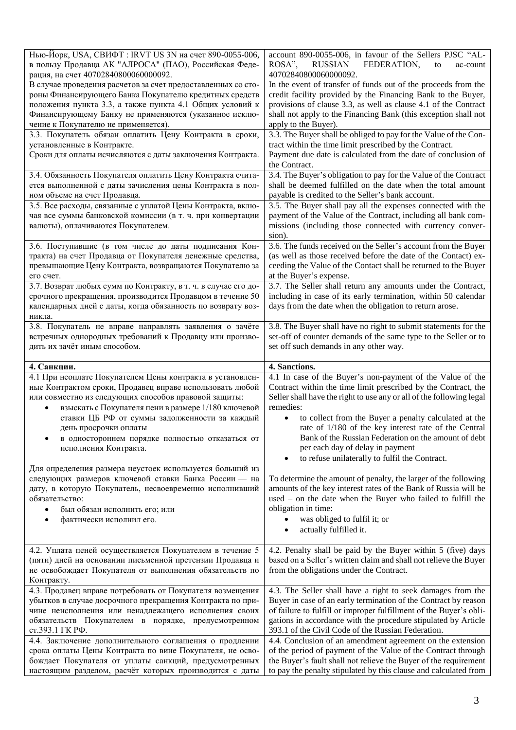| Нью-Йорк, USA, CBИФТ: IRVT US 3N на счет 890-0055-006,<br>в пользу Продавца АК "АЛРОСА" (ПАО), Российская Феде-<br>рация, на счет 40702840800060000092. | account 890-0055-006, in favour of the Sellers PJSC "AL-<br><b>RUSSIAN</b><br>FEDERATION,<br>ROSA".<br>to<br>ac-count<br>40702840800060000092. |
|---------------------------------------------------------------------------------------------------------------------------------------------------------|------------------------------------------------------------------------------------------------------------------------------------------------|
| В случае проведения расчетов за счет предоставленных со сто-<br>роны Финансирующего Банка Покупателю кредитных средств                                  | In the event of transfer of funds out of the proceeds from the<br>credit facility provided by the Financing Bank to the Buyer,                 |
| положения пункта 3.3, а также пункта 4.1 Общих условий к                                                                                                | provisions of clause 3.3, as well as clause 4.1 of the Contract                                                                                |
| Финансирующему Банку не применяются (указанное исклю-                                                                                                   | shall not apply to the Financing Bank (this exception shall not                                                                                |
| чение к Покупателю не применяется).                                                                                                                     | apply to the Buyer).                                                                                                                           |
| 3.3. Покупатель обязан оплатить Цену Контракта в сроки,                                                                                                 | 3.3. The Buyer shall be obliged to pay for the Value of the Con-                                                                               |
| установленные в Контракте.<br>Сроки для оплаты исчисляются с даты заключения Контракта.                                                                 | tract within the time limit prescribed by the Contract.<br>Payment due date is calculated from the date of conclusion of                       |
|                                                                                                                                                         | the Contract.                                                                                                                                  |
| 3.4. Обязанность Покупателя оплатить Цену Контракта счита-                                                                                              | 3.4. The Buyer's obligation to pay for the Value of the Contract                                                                               |
| ется выполненной с даты зачисления цены Контракта в пол-                                                                                                | shall be deemed fulfilled on the date when the total amount                                                                                    |
| ном объеме на счет Продавца.                                                                                                                            | payable is credited to the Seller's bank account.                                                                                              |
| 3.5. Все расходы, связанные с уплатой Цены Контракта, вклю-<br>чая все суммы банковской комиссии (в т. ч. при конвертации                               | 3.5. The Buyer shall pay all the expenses connected with the<br>payment of the Value of the Contract, including all bank com-                  |
| валюты), оплачиваются Покупателем.                                                                                                                      | missions (including those connected with currency conver-                                                                                      |
|                                                                                                                                                         | sion).                                                                                                                                         |
| 3.6. Поступившие (в том числе до даты подписания Кон-                                                                                                   | 3.6. The funds received on the Seller's account from the Buyer                                                                                 |
| тракта) на счет Продавца от Покупателя денежные средства,                                                                                               | (as well as those received before the date of the Contact) ex-                                                                                 |
| превышающие Цену Контракта, возвращаются Покупателю за<br>его счет.                                                                                     | ceeding the Value of the Contact shall be returned to the Buyer<br>at the Buyer's expense.                                                     |
| 3.7. Возврат любых сумм по Контракту, в т. ч. в случае его до-                                                                                          | 3.7. The Seller shall return any amounts under the Contract,                                                                                   |
| срочного прекращения, производится Продавцом в течение 50                                                                                               | including in case of its early termination, within 50 calendar                                                                                 |
| календарных дней с даты, когда обязанность по возврату воз-                                                                                             | days from the date when the obligation to return arose.                                                                                        |
| никла.                                                                                                                                                  |                                                                                                                                                |
| 3.8. Покупатель не вправе направлять заявления о зачёте<br>встречных однородных требований к Продавцу или произво-                                      | 3.8. The Buyer shall have no right to submit statements for the<br>set-off of counter demands of the same type to the Seller or to             |
| дить их зачёт иным способом.                                                                                                                            | set off such demands in any other way.                                                                                                         |
|                                                                                                                                                         |                                                                                                                                                |
|                                                                                                                                                         |                                                                                                                                                |
| 4. Санкции.                                                                                                                                             | 4. Sanctions.                                                                                                                                  |
| 4.1 При неоплате Покупателем Цены контракта в установлен-                                                                                               | 4.1 In case of the Buyer's non-payment of the Value of the                                                                                     |
| ные Контрактом сроки, Продавец вправе использовать любой                                                                                                | Contract within the time limit prescribed by the Contract, the                                                                                 |
| или совместно из следующих способов правовой защиты:<br>взыскать с Покупателя пени в размере 1/180 ключевой<br>$\bullet$                                | Seller shall have the right to use any or all of the following legal<br>remedies:                                                              |
| ставки ЦБ РФ от суммы задолженности за каждый                                                                                                           | to collect from the Buyer a penalty calculated at the<br>$\bullet$                                                                             |
| день просрочки оплаты                                                                                                                                   | rate of 1/180 of the key interest rate of the Central                                                                                          |
| в одностороннем порядке полностью отказаться от<br>$\bullet$                                                                                            | Bank of the Russian Federation on the amount of debt                                                                                           |
| исполнения Контракта.                                                                                                                                   | per each day of delay in payment                                                                                                               |
| Для определения размера неустоек используется больший из                                                                                                | to refuse unilaterally to fulfil the Contract.                                                                                                 |
| следующих размеров ключевой ставки Банка России - на                                                                                                    | To determine the amount of penalty, the larger of the following                                                                                |
| дату, в которую Покупатель, несвоевременно исполнивший                                                                                                  | amounts of the key interest rates of the Bank of Russia will be                                                                                |
| обязательство:                                                                                                                                          | used – on the date when the Buyer who failed to fulfill the                                                                                    |
| был обязан исполнить его; или<br>٠<br>٠                                                                                                                 | obligation in time:<br>٠                                                                                                                       |
| фактически исполнил его.                                                                                                                                | was obliged to fulfil it; or<br>actually fulfilled it.                                                                                         |
|                                                                                                                                                         |                                                                                                                                                |
| 4.2. Уплата пеней осуществляется Покупателем в течение 5                                                                                                | 4.2. Penalty shall be paid by the Buyer within 5 (five) days                                                                                   |
| (пяти) дней на основании письменной претензии Продавца и                                                                                                | based on a Seller's written claim and shall not relieve the Buyer                                                                              |
| не освобождает Покупателя от выполнения обязательств по                                                                                                 | from the obligations under the Contract.                                                                                                       |
| Контракту.<br>4.3. Продавец вправе потребовать от Покупателя возмещения                                                                                 | 4.3. The Seller shall have a right to seek damages from the                                                                                    |
| убытков в случае досрочного прекращения Контракта по при-                                                                                               | Buyer in case of an early termination of the Contract by reason                                                                                |
| чине неисполнения или ненадлежащего исполнения своих                                                                                                    | of failure to fulfill or improper fulfillment of the Buyer's obli-                                                                             |
| обязательств Покупателем в порядке, предусмотренном                                                                                                     | gations in accordance with the procedure stipulated by Article                                                                                 |
| ст.393.1 ГК РФ.<br>4.4. Заключение дополнительного соглашения о продлении                                                                               | 393.1 of the Civil Code of the Russian Federation.<br>4.4. Conclusion of an amendment agreement on the extension                               |
| срока оплаты Цены Контракта по вине Покупателя, не осво-                                                                                                | of the period of payment of the Value of the Contract through                                                                                  |
| бождает Покупателя от уплаты санкций, предусмотренных<br>настоящим разделом, расчёт которых производится с даты                                         | the Buyer's fault shall not relieve the Buyer of the requirement<br>to pay the penalty stipulated by this clause and calculated from           |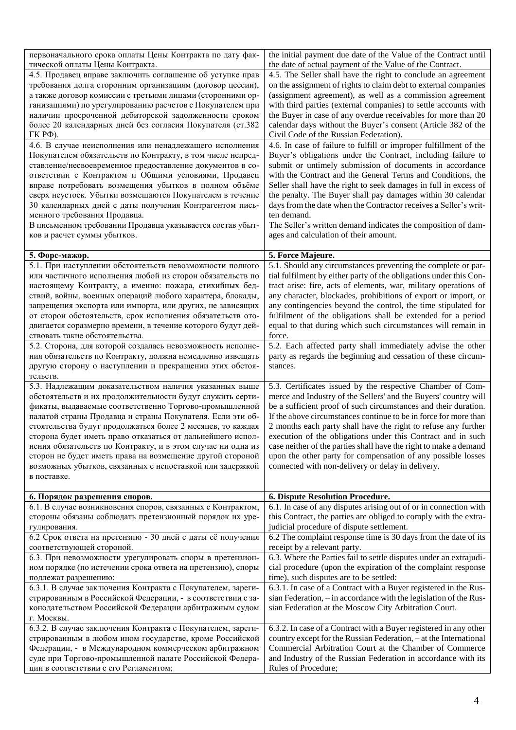| первоначального срока оплаты Цены Контракта по дату фак-<br>тической оплаты Цены Контракта.                               | the initial payment due date of the Value of the Contract until<br>the date of actual payment of the Value of the Contract.         |
|---------------------------------------------------------------------------------------------------------------------------|-------------------------------------------------------------------------------------------------------------------------------------|
| 4.5. Продавец вправе заключить соглашение об уступке прав                                                                 | 4.5. The Seller shall have the right to conclude an agreement                                                                       |
| требования долга сторонним организациям (договор цессии),                                                                 | on the assignment of rights to claim debt to external companies                                                                     |
| а также договор комиссии с третьими лицами (сторонними ор-                                                                | (assignment agreement), as well as a commission agreement                                                                           |
| ганизациями) по урегулированию расчетов с Покупателем при                                                                 | with third parties (external companies) to settle accounts with                                                                     |
| наличии просроченной дебиторской задолженности сроком                                                                     | the Buyer in case of any overdue receivables for more than 20                                                                       |
| более 20 календарных дней без согласия Покупателя (ст.382                                                                 | calendar days without the Buyer's consent (Article 382 of the                                                                       |
| $\Gamma$ К РФ).                                                                                                           | Civil Code of the Russian Federation).                                                                                              |
| 4.6. В случае неисполнения или ненадлежащего исполнения                                                                   | 4.6. In case of failure to fulfill or improper fulfillment of the                                                                   |
| Покупателем обязательств по Контракту, в том числе непред-                                                                | Buyer's obligations under the Contract, including failure to                                                                        |
| ставление/несвоевременное предоставление документов в со-                                                                 | submit or untimely submission of documents in accordance                                                                            |
| ответствии с Контрактом и Общими условиями, Продавец                                                                      | with the Contract and the General Terms and Conditions, the                                                                         |
| вправе потребовать возмещения убытков в полном объёме<br>сверх неустоек. Убытки возмещаются Покупателем в течение         | Seller shall have the right to seek damages in full in excess of<br>the penalty. The Buyer shall pay damages within 30 calendar     |
| 30 календарных дней с даты получения Контрагентом пись-                                                                   | days from the date when the Contractor receives a Seller's writ-                                                                    |
| менного требования Продавца.                                                                                              | ten demand.                                                                                                                         |
| В письменном требовании Продавца указывается состав убыт-                                                                 | The Seller's written demand indicates the composition of dam-                                                                       |
| ков и расчет суммы убытков.                                                                                               | ages and calculation of their amount.                                                                                               |
|                                                                                                                           |                                                                                                                                     |
| 5. Форс-мажор.                                                                                                            | 5. Force Majeure.                                                                                                                   |
| 5.1. При наступлении обстоятельств невозможности полного                                                                  | 5.1. Should any circumstances preventing the complete or par-                                                                       |
| или частичного исполнения любой из сторон обязательств по                                                                 | tial fulfilment by either party of the obligations under this Con-                                                                  |
| настоящему Контракту, а именно: пожара, стихийных бед-                                                                    | tract arise: fire, acts of elements, war, military operations of                                                                    |
| ствий, войны, военных операций любого характера, блокады,                                                                 | any character, blockades, prohibitions of export or import, or                                                                      |
| запрещения экспорта или импорта, или других, не зависящих<br>от сторон обстоятельств, срок исполнения обязательств ото-   | any contingencies beyond the control, the time stipulated for<br>fulfilment of the obligations shall be extended for a period       |
| двигается соразмерно времени, в течение которого будут дей-                                                               | equal to that during which such circumstances will remain in                                                                        |
| ствовать такие обстоятельства.                                                                                            | force.                                                                                                                              |
| 5.2. Сторона, для которой создалась невозможность исполне-                                                                | 5.2. Each affected party shall immediately advise the other                                                                         |
| ния обязательств по Контракту, должна немедленно извещать                                                                 | party as regards the beginning and cessation of these circum-                                                                       |
| другую сторону о наступлении и прекращении этих обстоя-                                                                   | stances.                                                                                                                            |
| тельств.                                                                                                                  |                                                                                                                                     |
| 5.3. Надлежащим доказательством наличия указанных выше                                                                    | 5.3. Certificates issued by the respective Chamber of Com-                                                                          |
| обстоятельств и их продолжительности будут служить серти-                                                                 | merce and Industry of the Sellers' and the Buyers' country will                                                                     |
| фикаты, выдаваемые соответственно Торгово-промышленной                                                                    | be a sufficient proof of such circumstances and their duration.                                                                     |
| палатой страны Продавца и страны Покупателя. Если эти об-                                                                 | If the above circumstances continue to be in force for more than                                                                    |
| стоятельства будут продолжаться более 2 месяцев, то каждая                                                                | 2 months each party shall have the right to refuse any further                                                                      |
| сторона будет иметь право отказаться от дальнейшего испол-<br>нения обязательств по Контракту, и в этом случае ни одна из | execution of the obligations under this Contract and in such<br>case neither of the parties shall have the right to make a demand   |
| сторон не будет иметь права на возмещение другой стороной                                                                 | upon the other party for compensation of any possible losses                                                                        |
| возможных убытков, связанных с непоставкой или задержкой                                                                  | connected with non-delivery or delay in delivery.                                                                                   |
| в поставке.                                                                                                               |                                                                                                                                     |
|                                                                                                                           |                                                                                                                                     |
| 6. Порядок разрешения споров.                                                                                             | 6. Dispute Resolution Procedure.<br>6.1. In case of any disputes arising out of or in connection with                               |
| 6.1. В случае возникновения споров, связанных с Контрактом,<br>стороны обязаны соблюдать претензионный порядок их уре-    | this Contract, the parties are obliged to comply with the extra-                                                                    |
| гулирования.                                                                                                              | judicial procedure of dispute settlement.                                                                                           |
| 6.2 Срок ответа на претензию - 30 дней с даты её получения                                                                |                                                                                                                                     |
| соответствующей стороной.                                                                                                 |                                                                                                                                     |
| 6.3. При невозможности урегулировать споры в претензион-                                                                  | 6.2 The complaint response time is 30 days from the date of its                                                                     |
|                                                                                                                           | receipt by a relevant party.                                                                                                        |
| ном порядке (по истечении срока ответа на претензию), споры                                                               | 6.3. Where the Parties fail to settle disputes under an extrajudi-<br>cial procedure (upon the expiration of the complaint response |
| подлежат разрешению:                                                                                                      | time), such disputes are to be settled:                                                                                             |
| 6.3.1. В случае заключения Контракта с Покупателем, зареги-                                                               | 6.3.1. In case of a Contract with a Buyer registered in the Rus-                                                                    |
| стрированным в Российской Федерации, - в соответствии с за-                                                               | sian Federation, - in accordance with the legislation of the Rus-                                                                   |
| конодательством Российской Федерации арбитражным судом                                                                    | sian Federation at the Moscow City Arbitration Court.                                                                               |
| г. Москвы.                                                                                                                |                                                                                                                                     |
| 6.3.2. В случае заключения Контракта с Покупателем, зареги-                                                               | 6.3.2. In case of a Contract with a Buyer registered in any other                                                                   |
| стрированным в любом ином государстве, кроме Российской                                                                   | country except for the Russian Federation, - at the International                                                                   |
| Федерации, - в Международном коммерческом арбитражном                                                                     | Commercial Arbitration Court at the Chamber of Commerce                                                                             |
| суде при Торгово-промышленной палате Российской Федера-<br>ции в соответствии с его Регламентом;                          | and Industry of the Russian Federation in accordance with its<br>Rules of Procedure;                                                |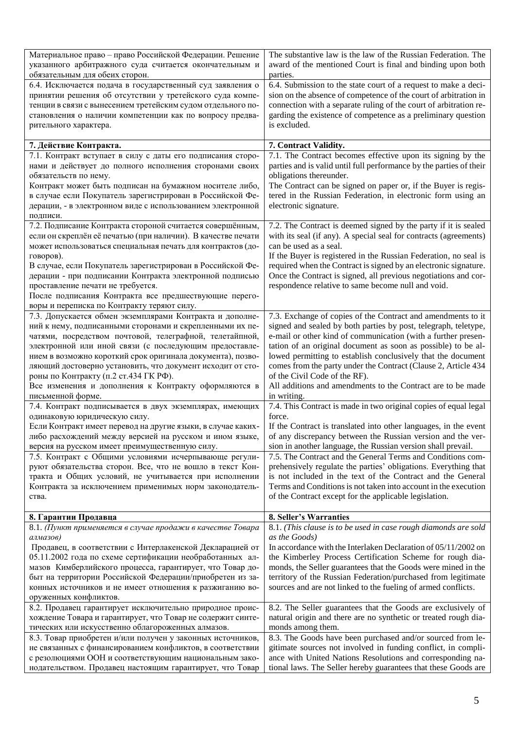| Материальное право - право Российской Федерации. Решение<br>указанного арбитражного суда считается окончательным и | The substantive law is the law of the Russian Federation. The<br>award of the mentioned Court is final and binding upon both   |
|--------------------------------------------------------------------------------------------------------------------|--------------------------------------------------------------------------------------------------------------------------------|
| обязательным для обеих сторон.                                                                                     | parties.                                                                                                                       |
| 6.4. Исключается подача в государственный суд заявления о                                                          | 6.4. Submission to the state court of a request to make a deci-                                                                |
| принятии решения об отсутствии у третейского суда компе-                                                           | sion on the absence of competence of the court of arbitration in                                                               |
| тенции в связи с вынесением третейским судом отдельного по-                                                        | connection with a separate ruling of the court of arbitration re-                                                              |
| становления о наличии компетенции как по вопросу предва-                                                           | garding the existence of competence as a preliminary question                                                                  |
| рительного характера.                                                                                              | is excluded.                                                                                                                   |
|                                                                                                                    |                                                                                                                                |
| 7. Действие Контракта.                                                                                             | 7. Contract Validity.                                                                                                          |
| 7.1. Контракт вступает в силу с даты его подписания сторо-                                                         | 7.1. The Contract becomes effective upon its signing by the                                                                    |
| нами и действует до полного исполнения сторонами своих                                                             | parties and is valid until full performance by the parties of their                                                            |
| обязательств по нему.                                                                                              | obligations thereunder.                                                                                                        |
| Контракт может быть подписан на бумажном носителе либо,                                                            | The Contract can be signed on paper or, if the Buyer is regis-                                                                 |
| в случае если Покупатель зарегистрирован в Российской Фе-                                                          | tered in the Russian Federation, in electronic form using an                                                                   |
| дерации, - в электронном виде с использованием электронной                                                         | electronic signature.                                                                                                          |
| подписи.                                                                                                           |                                                                                                                                |
| 7.2. Подписание Контракта стороной считается совершённым,                                                          | 7.2. The Contract is deemed signed by the party if it is sealed                                                                |
| если он скреплён её печатью (при наличии). В качестве печати                                                       | with its seal (if any). A special seal for contracts (agreements)                                                              |
| может использоваться специальная печать для контрактов (до-                                                        | can be used as a seal.                                                                                                         |
| говоров).                                                                                                          | If the Buyer is registered in the Russian Federation, no seal is                                                               |
| В случае, если Покупатель зарегистрирован в Российской Фе-                                                         | required when the Contract is signed by an electronic signature.                                                               |
| дерации - при подписании Контракта электронной подписью                                                            | Once the Contract is signed, all previous negotiations and cor-                                                                |
| проставление печати не требуется.                                                                                  | respondence relative to same become null and void.                                                                             |
|                                                                                                                    |                                                                                                                                |
| После подписания Контракта все предшествующие перего-<br>воры и переписка по Контракту теряют силу.                |                                                                                                                                |
| 7.3. Допускается обмен экземплярами Контракта и дополне-                                                           | 7.3. Exchange of copies of the Contract and amendments to it                                                                   |
|                                                                                                                    |                                                                                                                                |
| ний к нему, подписанными сторонами и скрепленными их пе-                                                           | signed and sealed by both parties by post, telegraph, teletype,                                                                |
| чатями, посредством почтовой, телеграфной, телетайпной,<br>электронной или иной связи (с последующим предоставле-  | e-mail or other kind of communication (with a further presen-<br>tation of an original document as soon as possible) to be al- |
| нием в возможно короткий срок оригинала документа), позво-                                                         | lowed permitting to establish conclusively that the document                                                                   |
|                                                                                                                    | comes from the party under the Contract (Clause 2, Article 434                                                                 |
| ляющий достоверно установить, что документ исходит от сто-<br>роны по Контракту (п.2 ст.434 ГК РФ).                | of the Civil Code of the RF).                                                                                                  |
| Все изменения и дополнения к Контракту оформляются в                                                               | All additions and amendments to the Contract are to be made                                                                    |
| письменной форме.                                                                                                  | in writing.                                                                                                                    |
| 7.4. Контракт подписывается в двух экземплярах, имеющих                                                            | 7.4. This Contract is made in two original copies of equal legal                                                               |
| одинаковую юридическую силу.                                                                                       | force.                                                                                                                         |
| Если Контракт имеет перевод на другие языки, в случае каких-                                                       | If the Contract is translated into other languages, in the event                                                               |
| либо расхождений между версией на русском и ином языке,                                                            | of any discrepancy between the Russian version and the ver-                                                                    |
| версия на русском имеет преимущественную силу.                                                                     | sion in another language, the Russian version shall prevail.                                                                   |
| 7.5. Контракт с Общими условиями исчерпывающе регули-                                                              | 7.5. The Contract and the General Terms and Conditions com-                                                                    |
| руют обязательства сторон. Все, что не вошло в текст Кон-                                                          | prehensively regulate the parties' obligations. Everything that                                                                |
| тракта и Общих условий, не учитывается при исполнении                                                              | is not included in the text of the Contract and the General                                                                    |
| Контракта за исключением применимых норм законодатель-                                                             | Terms and Conditions is not taken into account in the execution                                                                |
| ства.                                                                                                              | of the Contract except for the applicable legislation.                                                                         |
|                                                                                                                    |                                                                                                                                |
| 8. Гарантии Продавца                                                                                               | 8. Seller's Warranties                                                                                                         |
| 8.1. (Пункт применяется в случае продажи в качестве Товара                                                         | 8.1. (This clause is to be used in case rough diamonds are sold                                                                |
| алмазов)                                                                                                           | as the Goods)                                                                                                                  |
| Продавец, в соответствии с Интерлакенской Декларацией от                                                           | In accordance with the Interlaken Declaration of 05/11/2002 on                                                                 |
| 05.11.2002 года по схеме сертификации необработанных ал-                                                           | the Kimberley Process Certification Scheme for rough dia-                                                                      |
| мазов Кимберлийского процесса, гарантирует, что Товар до-                                                          | monds, the Seller guarantees that the Goods were mined in the                                                                  |
| быт на территории Российской Федерации/приобретен из за-                                                           | territory of the Russian Federation/purchased from legitimate                                                                  |
| конных источников и не имеет отношения к разжиганию во-                                                            | sources and are not linked to the fueling of armed conflicts.                                                                  |
| оруженных конфликтов.                                                                                              |                                                                                                                                |
| 8.2. Продавец гарантирует исключительно природное проис-                                                           | 8.2. The Seller guarantees that the Goods are exclusively of                                                                   |
| хождение Товара и гарантирует, что Товар не содержит синте-                                                        | natural origin and there are no synthetic or treated rough dia-                                                                |
| тических или искусственно облагороженных алмазов.                                                                  | monds among them.                                                                                                              |
| 8.3. Товар приобретен и/или получен у законных источников,                                                         | 8.3. The Goods have been purchased and/or sourced from le-                                                                     |
| не связанных с финансированием конфликтов, в соответствии                                                          | gitimate sources not involved in funding conflict, in compli-                                                                  |
| с резолюциями ООН и соответствующим национальным зако-                                                             | ance with United Nations Resolutions and corresponding na-                                                                     |
| нодательством. Продавец настоящим гарантирует, что Товар                                                           | tional laws. The Seller hereby guarantees that these Goods are                                                                 |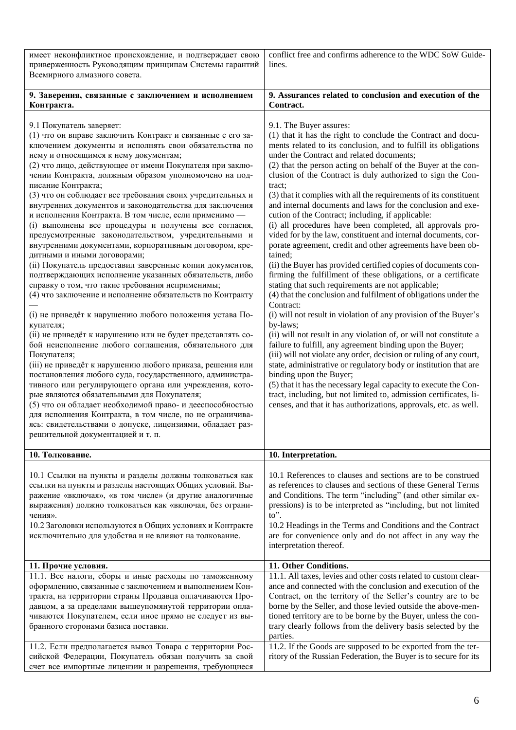| имеет неконфликтное происхождение, и подтверждает свою<br>приверженность Руководящим принципам Системы гарантий<br>Всемирного алмазного совета.                                                                                                                                                                                                                                                                                                                                                                                                                                                                                                                                                                                                                                                                                                                                                                                                                                                                                                                                                                                                                                                                                                                                                                                                                                                                                                                                                                                                                                                                                              | conflict free and confirms adherence to the WDC SoW Guide-<br>lines.                                                                                                                                                                                                                                                                                                                                                                                                                                                                                                                                                                                                                                                                                                                                                                                                                                                                                                                                                                                                                                                                                                                                                                                                                                                                                                                                                                                                                                                                                                                                                                |
|----------------------------------------------------------------------------------------------------------------------------------------------------------------------------------------------------------------------------------------------------------------------------------------------------------------------------------------------------------------------------------------------------------------------------------------------------------------------------------------------------------------------------------------------------------------------------------------------------------------------------------------------------------------------------------------------------------------------------------------------------------------------------------------------------------------------------------------------------------------------------------------------------------------------------------------------------------------------------------------------------------------------------------------------------------------------------------------------------------------------------------------------------------------------------------------------------------------------------------------------------------------------------------------------------------------------------------------------------------------------------------------------------------------------------------------------------------------------------------------------------------------------------------------------------------------------------------------------------------------------------------------------|-------------------------------------------------------------------------------------------------------------------------------------------------------------------------------------------------------------------------------------------------------------------------------------------------------------------------------------------------------------------------------------------------------------------------------------------------------------------------------------------------------------------------------------------------------------------------------------------------------------------------------------------------------------------------------------------------------------------------------------------------------------------------------------------------------------------------------------------------------------------------------------------------------------------------------------------------------------------------------------------------------------------------------------------------------------------------------------------------------------------------------------------------------------------------------------------------------------------------------------------------------------------------------------------------------------------------------------------------------------------------------------------------------------------------------------------------------------------------------------------------------------------------------------------------------------------------------------------------------------------------------------|
| 9. Заверения, связанные с заключением и исполнением<br>Контракта.                                                                                                                                                                                                                                                                                                                                                                                                                                                                                                                                                                                                                                                                                                                                                                                                                                                                                                                                                                                                                                                                                                                                                                                                                                                                                                                                                                                                                                                                                                                                                                            | 9. Assurances related to conclusion and execution of the<br>Contract.                                                                                                                                                                                                                                                                                                                                                                                                                                                                                                                                                                                                                                                                                                                                                                                                                                                                                                                                                                                                                                                                                                                                                                                                                                                                                                                                                                                                                                                                                                                                                               |
| 9.1 Покупатель заверяет:<br>(1) что он вправе заключить Контракт и связанные с его за-<br>ключением документы и исполнять свои обязательства по<br>нему и относящимся к нему документам;<br>(2) что лицо, действующее от имени Покупателя при заклю-<br>чении Контракта, должным образом уполномочено на под-<br>писание Контракта;<br>(3) что он соблюдает все требования своих учредительных и<br>внутренних документов и законодательства для заключения<br>и исполнения Контракта. В том числе, если применимо -<br>(i) выполнены все процедуры и получены все согласия,<br>предусмотренные законодательством, учредительными и<br>внутренними документами, корпоративным договором, кре-<br>дитными и иными договорами;<br>(ii) Покупатель предоставил заверенные копии документов,<br>подтверждающих исполнение указанных обязательств, либо<br>справку о том, что такие требования неприменимы;<br>(4) что заключение и исполнение обязательств по Контракту<br>(і) не приведёт к нарушению любого положения устава По-<br>купателя;<br>(ii) не приведёт к нарушению или не будет представлять со-<br>бой неисполнение любого соглашения, обязательного для<br>Покупателя;<br>(iii) не приведёт к нарушению любого приказа, решения или<br>постановления любого суда, государственного, администра-<br>тивного или регулирующего органа или учреждения, кото-<br>рые являются обязательными для Покупателя;<br>(5) что он обладает необходимой право- и дееспособностью<br>для исполнения Контракта, в том числе, но не ограничива-<br>ясь: свидетельствами о допуске, лицензиями, обладает раз-<br>решительной документацией и т. п. | 9.1. The Buyer assures:<br>(1) that it has the right to conclude the Contract and docu-<br>ments related to its conclusion, and to fulfill its obligations<br>under the Contract and related documents;<br>(2) that the person acting on behalf of the Buyer at the con-<br>clusion of the Contract is duly authorized to sign the Con-<br>tract;<br>(3) that it complies with all the requirements of its constituent<br>and internal documents and laws for the conclusion and exe-<br>cution of the Contract; including, if applicable:<br>(i) all procedures have been completed, all approvals pro-<br>vided for by the law, constituent and internal documents, cor-<br>porate agreement, credit and other agreements have been ob-<br>tained;<br>(ii) the Buyer has provided certified copies of documents con-<br>firming the fulfillment of these obligations, or a certificate<br>stating that such requirements are not applicable;<br>(4) that the conclusion and fulfilment of obligations under the<br>Contract:<br>(i) will not result in violation of any provision of the Buyer's<br>by-laws;<br>(ii) will not result in any violation of, or will not constitute a<br>failure to fulfill, any agreement binding upon the Buyer;<br>(iii) will not violate any order, decision or ruling of any court,<br>state, administrative or regulatory body or institution that are<br>binding upon the Buyer;<br>(5) that it has the necessary legal capacity to execute the Con-<br>tract, including, but not limited to, admission certificates, li-<br>censes, and that it has authorizations, approvals, etc. as well. |
| 10. Толкование.                                                                                                                                                                                                                                                                                                                                                                                                                                                                                                                                                                                                                                                                                                                                                                                                                                                                                                                                                                                                                                                                                                                                                                                                                                                                                                                                                                                                                                                                                                                                                                                                                              | 10. Interpretation.                                                                                                                                                                                                                                                                                                                                                                                                                                                                                                                                                                                                                                                                                                                                                                                                                                                                                                                                                                                                                                                                                                                                                                                                                                                                                                                                                                                                                                                                                                                                                                                                                 |
| 10.1 Ссылки на пункты и разделы должны толковаться как<br>ссылки на пункты и разделы настоящих Общих условий. Вы-<br>ражение «включая», «в том числе» (и другие аналогичные<br>выражения) должно толковаться как «включая, без ограни-<br>чения».<br>10.2 Заголовки используются в Общих условиях и Контракте<br>исключительно для удобства и не влияют на толкование.                                                                                                                                                                                                                                                                                                                                                                                                                                                                                                                                                                                                                                                                                                                                                                                                                                                                                                                                                                                                                                                                                                                                                                                                                                                                       | 10.1 References to clauses and sections are to be construed<br>as references to clauses and sections of these General Terms<br>and Conditions. The term "including" (and other similar ex-<br>pressions) is to be interpreted as "including, but not limited<br>to".<br>10.2 Headings in the Terms and Conditions and the Contract<br>are for convenience only and do not affect in any way the<br>interpretation thereof.                                                                                                                                                                                                                                                                                                                                                                                                                                                                                                                                                                                                                                                                                                                                                                                                                                                                                                                                                                                                                                                                                                                                                                                                          |
| 11. Прочие условия.                                                                                                                                                                                                                                                                                                                                                                                                                                                                                                                                                                                                                                                                                                                                                                                                                                                                                                                                                                                                                                                                                                                                                                                                                                                                                                                                                                                                                                                                                                                                                                                                                          | 11. Other Conditions.                                                                                                                                                                                                                                                                                                                                                                                                                                                                                                                                                                                                                                                                                                                                                                                                                                                                                                                                                                                                                                                                                                                                                                                                                                                                                                                                                                                                                                                                                                                                                                                                               |
| 11.1. Все налоги, сборы и иные расходы по таможенному<br>оформлению, связанные с заключением и выполнением Кон-<br>тракта, на территории страны Продавца оплачиваются Про-<br>давцом, а за пределами вышеупомянутой территории опла-<br>чиваются Покупателем, если иное прямо не следует из вы-<br>бранного сторонами базиса поставки.<br>11.2. Если предполагается вывоз Товара с территории Рос-<br>сийской Федерации, Покупатель обязан получить за свой<br>счет все импортные лицензии и разрешения, требующиеся                                                                                                                                                                                                                                                                                                                                                                                                                                                                                                                                                                                                                                                                                                                                                                                                                                                                                                                                                                                                                                                                                                                         | 11.1. All taxes, levies and other costs related to custom clear-<br>ance and connected with the conclusion and execution of the<br>Contract, on the territory of the Seller's country are to be<br>borne by the Seller, and those levied outside the above-men-<br>tioned territory are to be borne by the Buyer, unless the con-<br>trary clearly follows from the delivery basis selected by the<br>parties.<br>11.2. If the Goods are supposed to be exported from the ter-<br>ritory of the Russian Federation, the Buyer is to secure for its                                                                                                                                                                                                                                                                                                                                                                                                                                                                                                                                                                                                                                                                                                                                                                                                                                                                                                                                                                                                                                                                                  |